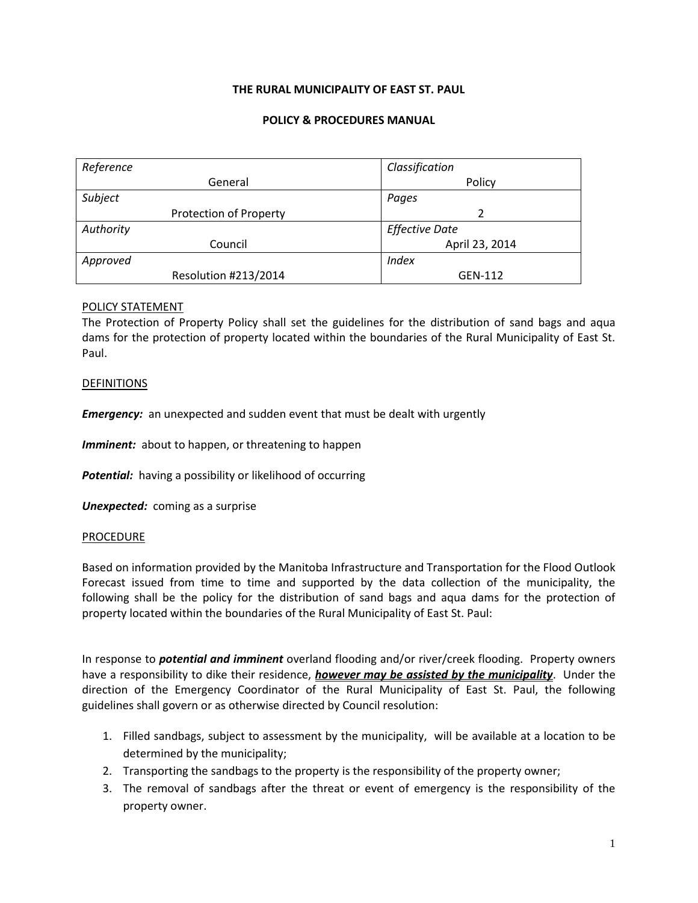# **THE RURAL MUNICIPALITY OF EAST ST. PAUL**

## **POLICY & PROCEDURES MANUAL**

| Reference              | Classification        |
|------------------------|-----------------------|
| General                | Policy                |
| Subject                | Pages                 |
| Protection of Property | 2                     |
| Authority              | <b>Effective Date</b> |
| Council                | April 23, 2014        |
| Approved               | Index                 |
| Resolution #213/2014   | GEN-112               |

## POLICY STATEMENT

The Protection of Property Policy shall set the guidelines for the distribution of sand bags and aqua dams for the protection of property located within the boundaries of the Rural Municipality of East St. Paul.

## DEFINITIONS

**Emergency:** an unexpected and sudden event that must be dealt with urgently

*Imminent:* about to happen, or threatening to happen

**Potential:** having a possibility or likelihood of occurring

*Unexpected:* coming as a surprise

### PROCEDURE

Based on information provided by the Manitoba Infrastructure and Transportation for the Flood Outlook Forecast issued from time to time and supported by the data collection of the municipality, the following shall be the policy for the distribution of sand bags and aqua dams for the protection of property located within the boundaries of the Rural Municipality of East St. Paul:

In response to *potential and imminent* overland flooding and/or river/creek flooding. Property owners have a responsibility to dike their residence, *however may be assisted by the municipality*. Under the direction of the Emergency Coordinator of the Rural Municipality of East St. Paul, the following guidelines shall govern or as otherwise directed by Council resolution:

- 1. Filled sandbags, subject to assessment by the municipality, will be available at a location to be determined by the municipality;
- 2. Transporting the sandbags to the property is the responsibility of the property owner;
- 3. The removal of sandbags after the threat or event of emergency is the responsibility of the property owner.